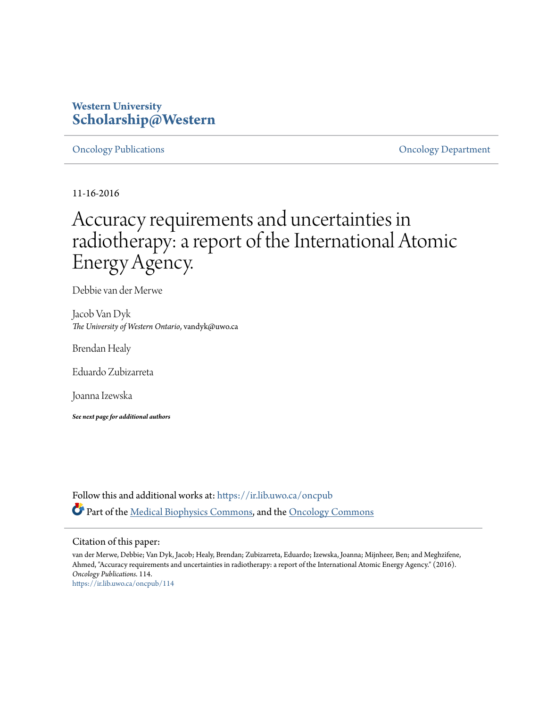### **Western University [Scholarship@Western](https://ir.lib.uwo.ca?utm_source=ir.lib.uwo.ca%2Foncpub%2F114&utm_medium=PDF&utm_campaign=PDFCoverPages)**

[Oncology Publications](https://ir.lib.uwo.ca/oncpub?utm_source=ir.lib.uwo.ca%2Foncpub%2F114&utm_medium=PDF&utm_campaign=PDFCoverPages) [Oncology Department](https://ir.lib.uwo.ca/onc?utm_source=ir.lib.uwo.ca%2Foncpub%2F114&utm_medium=PDF&utm_campaign=PDFCoverPages)

11-16-2016

# Accuracy requirements and uncertainties in radiotherapy: a report of the International Atomic Energy Agency.

Debbie van der Merwe

Jacob Van Dyk *The University of Western Ontario*, vandyk@uwo.ca

Brendan Healy

Eduardo Zubizarreta

Joanna Izewska

*See next page for additional authors*

Follow this and additional works at: [https://ir.lib.uwo.ca/oncpub](https://ir.lib.uwo.ca/oncpub?utm_source=ir.lib.uwo.ca%2Foncpub%2F114&utm_medium=PDF&utm_campaign=PDFCoverPages) Part of the [Medical Biophysics Commons,](http://network.bepress.com/hgg/discipline/668?utm_source=ir.lib.uwo.ca%2Foncpub%2F114&utm_medium=PDF&utm_campaign=PDFCoverPages) and the [Oncology Commons](http://network.bepress.com/hgg/discipline/694?utm_source=ir.lib.uwo.ca%2Foncpub%2F114&utm_medium=PDF&utm_campaign=PDFCoverPages)

#### Citation of this paper:

van der Merwe, Debbie; Van Dyk, Jacob; Healy, Brendan; Zubizarreta, Eduardo; Izewska, Joanna; Mijnheer, Ben; and Meghzifene, Ahmed, "Accuracy requirements and uncertainties in radiotherapy: a report of the International Atomic Energy Agency." (2016). *Oncology Publications*. 114. [https://ir.lib.uwo.ca/oncpub/114](https://ir.lib.uwo.ca/oncpub/114?utm_source=ir.lib.uwo.ca%2Foncpub%2F114&utm_medium=PDF&utm_campaign=PDFCoverPages)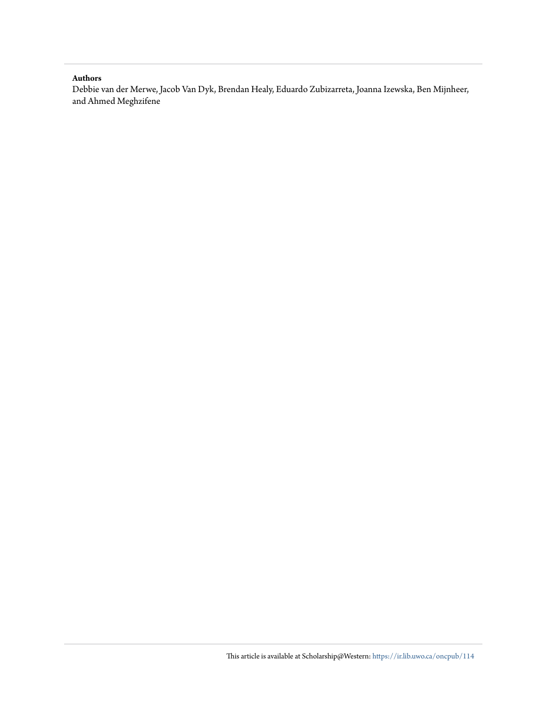#### **Authors**

Debbie van der Merwe, Jacob Van Dyk, Brendan Healy, Eduardo Zubizarreta, Joanna Izewska, Ben Mijnheer, and Ahmed Meghzifene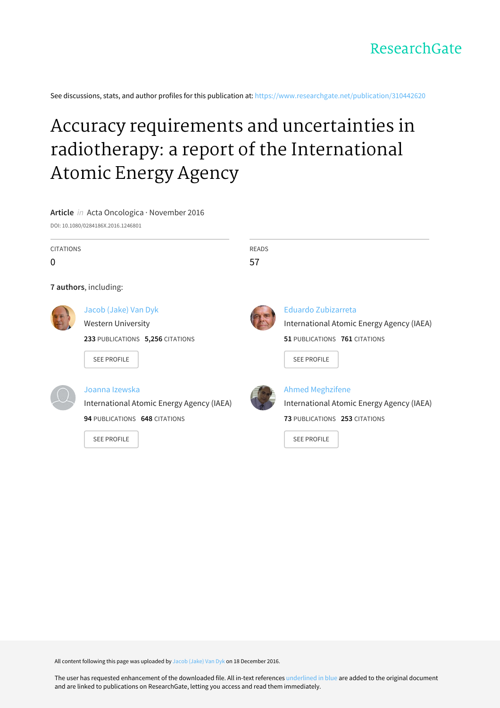See discussions, stats, and author profiles for this publication at: [https://www.researchgate.net/publication/310442620](https://www.researchgate.net/publication/310442620_Accuracy_requirements_and_uncertainties_in_radiotherapy_a_report_of_the_International_Atomic_Energy_Agency?enrichId=rgreq-c38731936db6aa8e8ee3a9982e8ed5a7-XXX&enrichSource=Y292ZXJQYWdlOzMxMDQ0MjYyMDtBUzo0NDA2NTk3MjQyNDcwNDBAMTQ4MjA3Mjg3MzE0NQ%3D%3D&el=1_x_2&_esc=publicationCoverPdf)

# Accuracy requirements and uncertainties in [radiotherapy:](https://www.researchgate.net/publication/310442620_Accuracy_requirements_and_uncertainties_in_radiotherapy_a_report_of_the_International_Atomic_Energy_Agency?enrichId=rgreq-c38731936db6aa8e8ee3a9982e8ed5a7-XXX&enrichSource=Y292ZXJQYWdlOzMxMDQ0MjYyMDtBUzo0NDA2NTk3MjQyNDcwNDBAMTQ4MjA3Mjg3MzE0NQ%3D%3D&el=1_x_3&_esc=publicationCoverPdf) a report of the International Atomic Energy Agency

**Article** in Acta Oncologica · November 2016

DOI: 10.1080/0284186X.2016.1246801

CITATIONS

 $\Omega$ 

**7 authors**, including:



Jacob [\(Jake\)](https://www.researchgate.net/profile/Jacob_Van_Dyk?enrichId=rgreq-c38731936db6aa8e8ee3a9982e8ed5a7-XXX&enrichSource=Y292ZXJQYWdlOzMxMDQ0MjYyMDtBUzo0NDA2NTk3MjQyNDcwNDBAMTQ4MjA3Mjg3MzE0NQ%3D%3D&el=1_x_5&_esc=publicationCoverPdf) Van Dyk

Western [University](https://www.researchgate.net/institution/Western_University?enrichId=rgreq-c38731936db6aa8e8ee3a9982e8ed5a7-XXX&enrichSource=Y292ZXJQYWdlOzMxMDQ0MjYyMDtBUzo0NDA2NTk3MjQyNDcwNDBAMTQ4MjA3Mjg3MzE0NQ%3D%3D&el=1_x_6&_esc=publicationCoverPdf)

**233** PUBLICATIONS **5,256** CITATIONS

SEE [PROFILE](https://www.researchgate.net/profile/Jacob_Van_Dyk?enrichId=rgreq-c38731936db6aa8e8ee3a9982e8ed5a7-XXX&enrichSource=Y292ZXJQYWdlOzMxMDQ0MjYyMDtBUzo0NDA2NTk3MjQyNDcwNDBAMTQ4MjA3Mjg3MzE0NQ%3D%3D&el=1_x_7&_esc=publicationCoverPdf)



READS 57

> Eduardo [Zubizarreta](https://www.researchgate.net/profile/Eduardo_Zubizarreta?enrichId=rgreq-c38731936db6aa8e8ee3a9982e8ed5a7-XXX&enrichSource=Y292ZXJQYWdlOzMxMDQ0MjYyMDtBUzo0NDA2NTk3MjQyNDcwNDBAMTQ4MjA3Mjg3MzE0NQ%3D%3D&el=1_x_5&_esc=publicationCoverPdf) [International](https://www.researchgate.net/institution/International_Atomic_Energy_Agency_IAEA?enrichId=rgreq-c38731936db6aa8e8ee3a9982e8ed5a7-XXX&enrichSource=Y292ZXJQYWdlOzMxMDQ0MjYyMDtBUzo0NDA2NTk3MjQyNDcwNDBAMTQ4MjA3Mjg3MzE0NQ%3D%3D&el=1_x_6&_esc=publicationCoverPdf) Atomic Energy Agency (IAEA) **51** PUBLICATIONS **761** CITATIONS

SEE [PROFILE](https://www.researchgate.net/profile/Eduardo_Zubizarreta?enrichId=rgreq-c38731936db6aa8e8ee3a9982e8ed5a7-XXX&enrichSource=Y292ZXJQYWdlOzMxMDQ0MjYyMDtBUzo0NDA2NTk3MjQyNDcwNDBAMTQ4MjA3Mjg3MzE0NQ%3D%3D&el=1_x_7&_esc=publicationCoverPdf)



#### Joanna [Izewska](https://www.researchgate.net/profile/Joanna_Izewska?enrichId=rgreq-c38731936db6aa8e8ee3a9982e8ed5a7-XXX&enrichSource=Y292ZXJQYWdlOzMxMDQ0MjYyMDtBUzo0NDA2NTk3MjQyNDcwNDBAMTQ4MjA3Mjg3MzE0NQ%3D%3D&el=1_x_5&_esc=publicationCoverPdf)

[International](https://www.researchgate.net/institution/International_Atomic_Energy_Agency_IAEA?enrichId=rgreq-c38731936db6aa8e8ee3a9982e8ed5a7-XXX&enrichSource=Y292ZXJQYWdlOzMxMDQ0MjYyMDtBUzo0NDA2NTk3MjQyNDcwNDBAMTQ4MjA3Mjg3MzE0NQ%3D%3D&el=1_x_6&_esc=publicationCoverPdf) Atomic Energy Agency (IAEA)

**94** PUBLICATIONS **648** CITATIONS

SEE [PROFILE](https://www.researchgate.net/profile/Joanna_Izewska?enrichId=rgreq-c38731936db6aa8e8ee3a9982e8ed5a7-XXX&enrichSource=Y292ZXJQYWdlOzMxMDQ0MjYyMDtBUzo0NDA2NTk3MjQyNDcwNDBAMTQ4MjA3Mjg3MzE0NQ%3D%3D&el=1_x_7&_esc=publicationCoverPdf)

Ahmed [Meghzifene](https://www.researchgate.net/profile/Ahmed_Meghzifene?enrichId=rgreq-c38731936db6aa8e8ee3a9982e8ed5a7-XXX&enrichSource=Y292ZXJQYWdlOzMxMDQ0MjYyMDtBUzo0NDA2NTk3MjQyNDcwNDBAMTQ4MjA3Mjg3MzE0NQ%3D%3D&el=1_x_5&_esc=publicationCoverPdf) [International](https://www.researchgate.net/institution/International_Atomic_Energy_Agency_IAEA?enrichId=rgreq-c38731936db6aa8e8ee3a9982e8ed5a7-XXX&enrichSource=Y292ZXJQYWdlOzMxMDQ0MjYyMDtBUzo0NDA2NTk3MjQyNDcwNDBAMTQ4MjA3Mjg3MzE0NQ%3D%3D&el=1_x_6&_esc=publicationCoverPdf) Atomic Energy Agency (IAEA) **73** PUBLICATIONS **253** CITATIONS

SEE [PROFILE](https://www.researchgate.net/profile/Ahmed_Meghzifene?enrichId=rgreq-c38731936db6aa8e8ee3a9982e8ed5a7-XXX&enrichSource=Y292ZXJQYWdlOzMxMDQ0MjYyMDtBUzo0NDA2NTk3MjQyNDcwNDBAMTQ4MjA3Mjg3MzE0NQ%3D%3D&el=1_x_7&_esc=publicationCoverPdf)

All content following this page was uploaded by Jacob [\(Jake\)](https://www.researchgate.net/profile/Jacob_Van_Dyk?enrichId=rgreq-c38731936db6aa8e8ee3a9982e8ed5a7-XXX&enrichSource=Y292ZXJQYWdlOzMxMDQ0MjYyMDtBUzo0NDA2NTk3MjQyNDcwNDBAMTQ4MjA3Mjg3MzE0NQ%3D%3D&el=1_x_10&_esc=publicationCoverPdf) Van Dyk on 18 December 2016.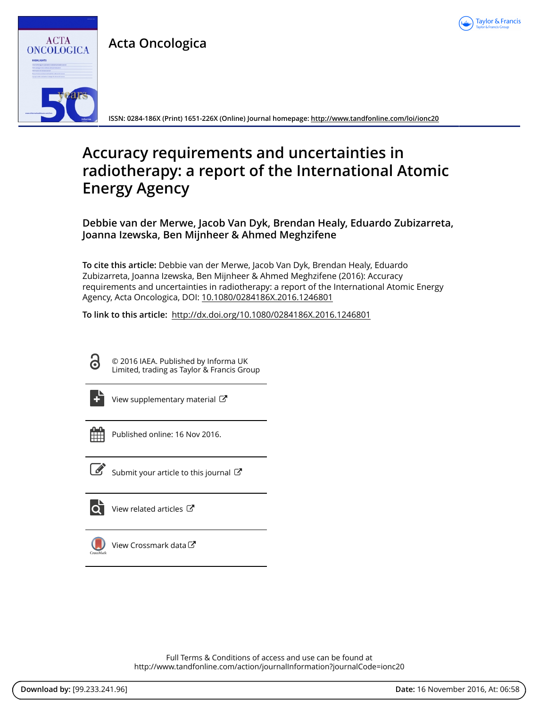

**Acta Oncologica**



**ISSN: 0284-186X (Print) 1651-226X (Online) Journal homepage:<http://www.tandfonline.com/loi/ionc20>**

## **Accuracy requirements and uncertainties in radiotherapy: a report of the International Atomic Energy Agency**

**Debbie van der Merwe, Jacob Van Dyk, Brendan Healy, Eduardo Zubizarreta, Joanna Izewska, Ben Mijnheer & Ahmed Meghzifene**

**To cite this article:** Debbie van der Merwe, Jacob Van Dyk, Brendan Healy, Eduardo Zubizarreta, Joanna Izewska, Ben Mijnheer & Ahmed Meghzifene (2016): Accuracy requirements and uncertainties in radiotherapy: a report of the International Atomic Energy Agency, Acta Oncologica, DOI: [10.1080/0284186X.2016.1246801](http://www.tandfonline.com/action/showCitFormats?doi=10.1080/0284186X.2016.1246801)

**To link to this article:** <http://dx.doi.org/10.1080/0284186X.2016.1246801>

6

© 2016 IAEA. Published by Informa UK Limited, trading as Taylor & Francis Group



[View supplementary material](http://www.tandfonline.com/doi/suppl/10.1080/0284186X.2016.1246801)  $\mathbb{Z}$ 



Published online: 16 Nov 2016.



 $\overline{\mathscr{L}}$  [Submit your article to this journal](http://www.tandfonline.com/action/authorSubmission?journalCode=ionc20&show=instructions)  $\mathbb{Z}$ 



 $\overline{\mathbf{Q}}$  [View related articles](http://www.tandfonline.com/doi/mlt/10.1080/0284186X.2016.1246801)  $\mathbf{C}$ 



[View Crossmark data](http://crossmark.crossref.org/dialog/?doi=10.1080/0284186X.2016.1246801&domain=pdf&date_stamp=2016-11-16)<sup>C</sup>

Full Terms & Conditions of access and use can be found at <http://www.tandfonline.com/action/journalInformation?journalCode=ionc20>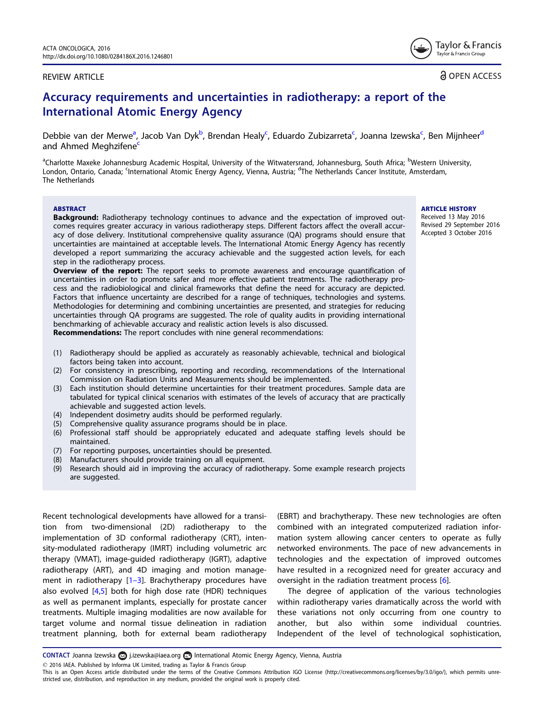#### <span id="page-4-0"></span>REVIEW ARTICLE

**a** OPEN ACCESS

Tavlor & Francis Taylor & Francis Group

### Accuracy requirements and uncertainties in radiotherapy: a report of the International Atomic Energy Agency

Debbie van der Merwe<sup>a</sup>, Jacob Van Dyk<sup>b</sup>, Brendan Healy<sup>c</sup>, Eduardo Zubizarreta<sup>c</sup>, Joanna Izewska<sup>c</sup>, Ben Mijnheer<sup>d</sup> and Ahmed Meghzifene<sup>c</sup>

<sup>a</sup>Charlotte Maxeke Johannesburg Academic Hospital, University of the Witwatersrand, Johannesburg, South Africa; <sup>b</sup>Western University, London, Ontario, Canada; <sup>c</sup>International Atomic Energy Agency, Vienna, Austria; <sup>d</sup>The Netherlands Cancer Institute, Amsterdam, The Netherlands

#### ABSTRACT

**Background:** Radiotherapy technology continues to advance and the expectation of improved outcomes requires greater accuracy in various radiotherapy steps. Different factors affect the overall accuracy of dose delivery. Institutional comprehensive quality assurance (QA) programs should ensure that uncertainties are maintained at acceptable levels. The International Atomic Energy Agency has recently developed a report summarizing the accuracy achievable and the suggested action levels, for each step in the radiotherapy process.

**Overview of the report:** The report seeks to promote awareness and encourage quantification of uncertainties in order to promote safer and more effective patient treatments. The radiotherapy process and the radiobiological and clinical frameworks that define the need for accuracy are depicted. Factors that influence uncertainty are described for a range of techniques, technologies and systems. Methodologies for determining and combining uncertainties are presented, and strategies for reducing uncertainties through QA programs are suggested. The role of quality audits in providing international benchmarking of achievable accuracy and realistic action levels is also discussed. Recommendations: The report concludes with nine general recommendations:

(1) Radiotherapy should be applied as accurately as reasonably achievable, technical and biological factors being taken into account.

- (2) For consistency in prescribing, reporting and recording, recommendations of the International Commission on Radiation Units and Measurements should be implemented.
- (3) Each institution should determine uncertainties for their treatment procedures. Sample data are tabulated for typical clinical scenarios with estimates of the levels of accuracy that are practically achievable and suggested action levels.
- (4) Independent dosimetry audits should be performed regularly.
- (5) Comprehensive quality assurance programs should be in place.
- (6) Professional staff should be appropriately educated and adequate staffing levels should be maintained.
- (7) For reporting purposes, uncertainties should be presented.
- (8) Manufacturers should provide training on all equipment.
- (9) Research should aid in improving the accuracy of radiotherapy. Some example research projects are suggested.

Recent technological developments have allowed for a transition from two-dimensional (2D) radiotherapy to the implementation of 3D conformal radiotherapy (CRT), intensity-modulated radiotherapy (IMRT) including volumetric arc therapy (VMAT), image-guided radiotherapy (IGRT), adaptive radiotherapy (ART), and 4D imaging and motion management in radiotherapy  $[1-3]$  $[1-3]$ . Brachytherapy procedures have also evolved [[4,5\]](#page-9-0) both for high dose rate (HDR) techniques as well as permanent implants, especially for prostate cancer treatments. Multiple imaging modalities are now available for target volume and normal tissue delineation in radiation treatment planning, both for external beam radiotherapy (EBRT) and brachytherapy. These new technologies are often combined with an integrated computerized radiation information system allowing cancer centers to operate as fully networked environments. The pace of new advancements in technologies and the expectation of improved outcomes have resulted in a recognized need for greater accuracy and oversight in the radiation treatment process [[6](#page-9-0)].

The degree of application of the various technologies within radiotherapy varies dramatically across the world with these variations not only occurring from one country to another, but also within some individual countries. Independent of the level of technological sophistication,

CONTACT Joanna Izewska aj.izewska@iaea.org **International Atomic Energy Agency, Vienna, Austria** 

2016 IAEA. Published by Informa UK Limited, trading as Taylor & Francis Group

This is an Open Access article distributed under the terms of the Creative Commons Attribution IGO License (http://creativecommons.org/licenses/by/3.0/igo/), which permits unrestricted use, distribution, and reproduction in any medium, provided the original work is properly cited.

**ARTICLE HISTORY** Received 13 May 2016 Revised 29 September 2016 Accepted 3 October 2016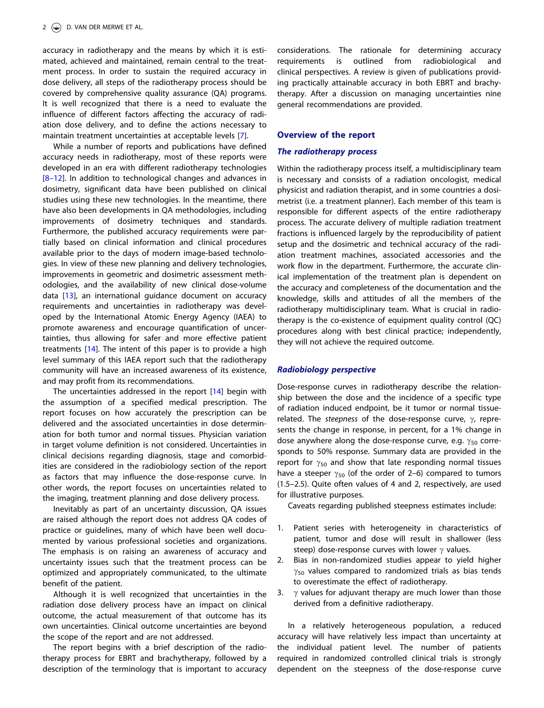<span id="page-5-0"></span>accuracy in radiotherapy and the means by which it is estimated, achieved and maintained, remain central to the treatment process. In order to sustain the required accuracy in dose delivery, all steps of the radiotherapy process should be covered by comprehensive quality assurance (QA) programs. It is well recognized that there is a need to evaluate the influence of different factors affecting the accuracy of radiation dose delivery, and to define the actions necessary to maintain treatment uncertainties at acceptable levels [[7\]](#page-9-0).

While a number of reports and publications have defined accuracy needs in radiotherapy, most of these reports were developed in an era with different radiotherapy technologies [8-[12\]](#page-9-0). In addition to technological changes and advances in dosimetry, significant data have been published on clinical studies using these new technologies. In the meantime, there have also been developments in QA methodologies, including improvements of dosimetry techniques and standards. Furthermore, the published accuracy requirements were partially based on clinical information and clinical procedures available prior to the days of modern image-based technologies. In view of these new planning and delivery technologies, improvements in geometric and dosimetric assessment methodologies, and the availability of new clinical dose-volume data [[13](#page-9-0)], an international guidance document on accuracy requirements and uncertainties in radiotherapy was developed by the International Atomic Energy Agency (IAEA) to promote awareness and encourage quantification of uncertainties, thus allowing for safer and more effective patient treatments [[14](#page-9-0)]. The intent of this paper is to provide a high level summary of this IAEA report such that the radiotherapy community will have an increased awareness of its existence, and may profit from its recommendations.

The uncertainties addressed in the report [\[14\]](#page-9-0) begin with the assumption of a specified medical prescription. The report focuses on how accurately the prescription can be delivered and the associated uncertainties in dose determination for both tumor and normal tissues. Physician variation in target volume definition is not considered. Uncertainties in clinical decisions regarding diagnosis, stage and comorbidities are considered in the radiobiology section of the report as factors that may influence the dose-response curve. In other words, the report focuses on uncertainties related to the imaging, treatment planning and dose delivery process.

Inevitably as part of an uncertainty discussion, QA issues are raised although the report does not address QA codes of practice or guidelines, many of which have been well documented by various professional societies and organizations. The emphasis is on raising an awareness of accuracy and uncertainty issues such that the treatment process can be optimized and appropriately communicated, to the ultimate benefit of the patient.

Although it is well recognized that uncertainties in the radiation dose delivery process have an impact on clinical outcome, the actual measurement of that outcome has its own uncertainties. Clinical outcome uncertainties are beyond the scope of the report and are not addressed.

The report begins with a brief description of the radiotherapy process for EBRT and brachytherapy, followed by a description of the terminology that is important to accuracy considerations. The rationale for determining accuracy requirements is outlined from radiobiological and clinical perspectives. A review is given of publications providing practically attainable accuracy in both EBRT and brachytherapy. After a discussion on managing uncertainties nine general recommendations are provided.

#### Overview of the report

#### The radiotherapy process

Within the radiotherapy process itself, a multidisciplinary team is necessary and consists of a radiation oncologist, medical physicist and radiation therapist, and in some countries a dosimetrist (i.e. a treatment planner). Each member of this team is responsible for different aspects of the entire radiotherapy process. The accurate delivery of multiple radiation treatment fractions is influenced largely by the reproducibility of patient setup and the dosimetric and technical accuracy of the radiation treatment machines, associated accessories and the work flow in the department. Furthermore, the accurate clinical implementation of the treatment plan is dependent on the accuracy and completeness of the documentation and the knowledge, skills and attitudes of all the members of the radiotherapy multidisciplinary team. What is crucial in radiotherapy is the co-existence of equipment quality control (QC) procedures along with best clinical practice; independently, they will not achieve the required outcome.

#### Radiobiology perspective

Dose-response curves in radiotherapy describe the relationship between the dose and the incidence of a specific type of radiation induced endpoint, be it tumor or normal tissuerelated. The *steepness* of the dose-response curve,  $\gamma$ , represents the change in response, in percent, for a 1% change in dose anywhere along the dose-response curve, e.g.  $\gamma_{50}$  corresponds to 50% response. Summary data are provided in the report for  $\gamma_{50}$  and show that late responding normal tissues have a steeper  $\gamma_{50}$  (of the order of 2–6) compared to tumors (1.5–2.5). Quite often values of 4 and 2, respectively, are used for illustrative purposes.

Caveats regarding published steepness estimates include:

- 1. Patient series with heterogeneity in characteristics of patient, tumor and dose will result in shallower (less steep) dose-response curves with lower  $\gamma$  values.
- 2. Bias in non-randomized studies appear to yield higher  $\gamma_{50}$  values compared to randomized trials as bias tends to overestimate the effect of radiotherapy.
- 3.  $\gamma$  values for adjuvant therapy are much lower than those derived from a definitive radiotherapy.

In a relatively heterogeneous population, a reduced accuracy will have relatively less impact than uncertainty at the individual patient level. The number of patients required in randomized controlled clinical trials is strongly dependent on the steepness of the dose-response curve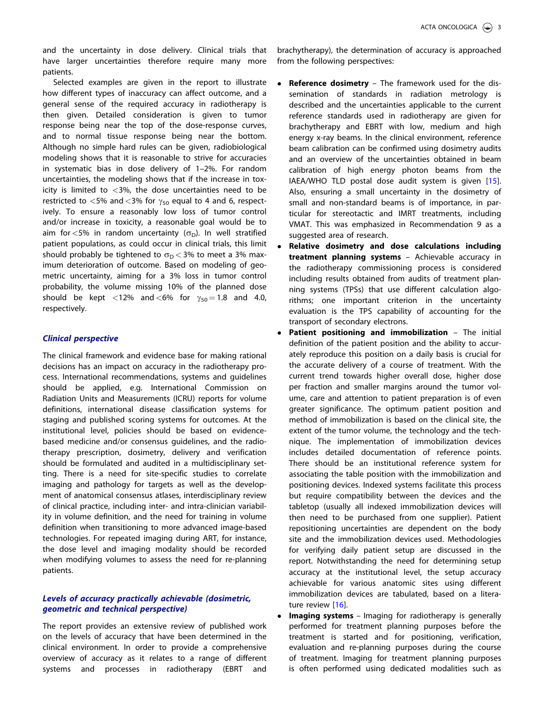<span id="page-6-0"></span>and the uncertainty in dose delivery. Clinical trials that have larger uncertainties therefore require many more patients.

Selected examples are given in the report to illustrate how different types of inaccuracy can affect outcome, and a general sense of the required accuracy in radiotherapy is then given. Detailed consideration is given to tumor response being near the top of the dose-response curves, and to normal tissue response being near the bottom. Although no simple hard rules can be given, radiobiological modeling shows that it is reasonable to strive for accuracies in systematic bias in dose delivery of 1–2%. For random uncertainties, the modeling shows that if the increase in toxicity is limited to  $<3\%$ , the dose uncertainties need to be restricted to <5% and <3% for  $\gamma_{50}$  equal to 4 and 6, respectively. To ensure a reasonably low loss of tumor control and/or increase in toxicity, a reasonable goal would be to aim for  $\lt 5\%$  in random uncertainty ( $\sigma_D$ ). In well stratified patient populations, as could occur in clinical trials, this limit should probably be tightened to  $\sigma_{\rm D} < 3\%$  to meet a 3% maximum deterioration of outcome. Based on modeling of geometric uncertainty, aiming for a 3% loss in tumor control probability, the volume missing 10% of the planned dose should be kept <12% and <6% for  $\gamma_{50} = 1.8$  and 4.0, respectively.

#### Clinical perspective

The clinical framework and evidence base for making rational decisions has an impact on accuracy in the radiotherapy process. International recommendations, systems and guidelines should be applied, e.g. International Commission on Radiation Units and Measurements (ICRU) reports for volume definitions, international disease classification systems for staging and published scoring systems for outcomes. At the institutional level, policies should be based on evidencebased medicine and/or consensus guidelines, and the radiotherapy prescription, dosimetry, delivery and verification should be formulated and audited in a multidisciplinary setting. There is a need for site-specific studies to correlate imaging and pathology for targets as well as the development of anatomical consensus atlases, interdisciplinary review of clinical practice, including inter- and intra-clinician variability in volume definition, and the need for training in volume definition when transitioning to more advanced image-based technologies. For repeated imaging during ART, for instance, the dose level and imaging modality should be recorded when modifying volumes to assess the need for re-planning patients.

#### Levels of accuracy practically achievable (dosimetric, geometric and technical perspective)

The report provides an extensive review of published work on the levels of accuracy that have been determined in the clinical environment. In order to provide a comprehensive overview of accuracy as it relates to a range of different systems and processes in radiotherapy (EBRT and brachytherapy), the determination of accuracy is approached from the following perspectives:

- $\bullet$  Reference dosimetry – The framework used for the dissemination of standards in radiation metrology is described and the uncertainties applicable to the current reference standards used in radiotherapy are given for brachytherapy and EBRT with low, medium and high energy x-ray beams. In the clinical environment, reference beam calibration can be confirmed using dosimetry audits and an overview of the uncertainties obtained in beam calibration of high energy photon beams from the IAEA/WHO TLD postal dose audit system is given [\[15](#page-9-0)]. Also, ensuring a small uncertainty in the dosimetry of small and non-standard beams is of importance, in particular for stereotactic and IMRT treatments, including VMAT. This was emphasized in Recommendation 9 as a suggested area of research.
- - Relative dosimetry and dose calculations including treatment planning systems – Achievable accuracy in the radiotherapy commissioning process is considered including results obtained from audits of treatment planning systems (TPSs) that use different calculation algorithms; one important criterion in the uncertainty evaluation is the TPS capability of accounting for the transport of secondary electrons.
- $\bullet$ Patient positioning and immobilization - The initial definition of the patient position and the ability to accurately reproduce this position on a daily basis is crucial for the accurate delivery of a course of treatment. With the current trend towards higher overall dose, higher dose per fraction and smaller margins around the tumor volume, care and attention to patient preparation is of even greater significance. The optimum patient position and method of immobilization is based on the clinical site, the extent of the tumor volume, the technology and the technique. The implementation of immobilization devices includes detailed documentation of reference points. There should be an institutional reference system for associating the table position with the immobilization and positioning devices. Indexed systems facilitate this process but require compatibility between the devices and the tabletop (usually all indexed immobilization devices will then need to be purchased from one supplier). Patient repositioning uncertainties are dependent on the body site and the immobilization devices used. Methodologies for verifying daily patient setup are discussed in the report. Notwithstanding the need for determining setup accuracy at the institutional level, the setup accuracy achievable for various anatomic sites using different immobilization devices are tabulated, based on a litera-ture review [\[16](#page-9-0)].
- - Imaging systems – Imaging for radiotherapy is generally performed for treatment planning purposes before the treatment is started and for positioning, verification, evaluation and re-planning purposes during the course of treatment. Imaging for treatment planning purposes is often performed using dedicated modalities such as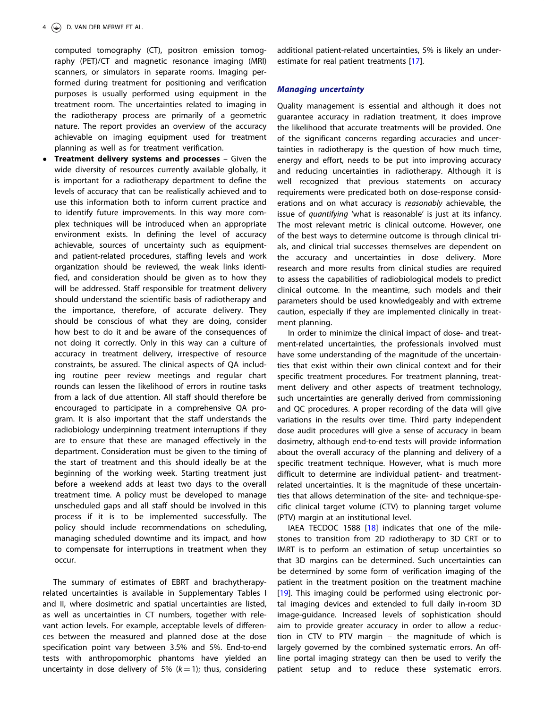<span id="page-7-0"></span>computed tomography (CT), positron emission tomography (PET)/CT and magnetic resonance imaging (MRI) scanners, or simulators in separate rooms. Imaging performed during treatment for positioning and verification purposes is usually performed using equipment in the treatment room. The uncertainties related to imaging in the radiotherapy process are primarily of a geometric nature. The report provides an overview of the accuracy achievable on imaging equipment used for treatment planning as well as for treatment verification.

- Treatment delivery systems and processes – Given the wide diversity of resources currently available globally, it is important for a radiotherapy department to define the levels of accuracy that can be realistically achieved and to use this information both to inform current practice and to identify future improvements. In this way more complex techniques will be introduced when an appropriate environment exists. In defining the level of accuracy achievable, sources of uncertainty such as equipmentand patient-related procedures, staffing levels and work organization should be reviewed, the weak links identified, and consideration should be given as to how they will be addressed. Staff responsible for treatment delivery should understand the scientific basis of radiotherapy and the importance, therefore, of accurate delivery. They should be conscious of what they are doing, consider how best to do it and be aware of the consequences of not doing it correctly. Only in this way can a culture of accuracy in treatment delivery, irrespective of resource constraints, be assured. The clinical aspects of QA including routine peer review meetings and regular chart rounds can lessen the likelihood of errors in routine tasks from a lack of due attention. All staff should therefore be encouraged to participate in a comprehensive QA program. It is also important that the staff understands the radiobiology underpinning treatment interruptions if they are to ensure that these are managed effectively in the department. Consideration must be given to the timing of the start of treatment and this should ideally be at the beginning of the working week. Starting treatment just before a weekend adds at least two days to the overall treatment time. A policy must be developed to manage unscheduled gaps and all staff should be involved in this process if it is to be implemented successfully. The policy should include recommendations on scheduling, managing scheduled downtime and its impact, and how to compensate for interruptions in treatment when they occur.

The summary of estimates of EBRT and brachytherapyrelated uncertainties is available in Supplementary Tables I and II, where dosimetric and spatial uncertainties are listed, as well as uncertainties in CT numbers, together with relevant action levels. For example, acceptable levels of differences between the measured and planned dose at the dose specification point vary between 3.5% and 5%. End-to-end tests with anthropomorphic phantoms have yielded an uncertainty in dose delivery of 5%  $(k = 1)$ ; thus, considering additional patient-related uncertainties, 5% is likely an underestimate for real patient treatments [[17\]](#page-9-0).

#### Managing uncertainty

Quality management is essential and although it does not guarantee accuracy in radiation treatment, it does improve the likelihood that accurate treatments will be provided. One of the significant concerns regarding accuracies and uncertainties in radiotherapy is the question of how much time, energy and effort, needs to be put into improving accuracy and reducing uncertainties in radiotherapy. Although it is well recognized that previous statements on accuracy requirements were predicated both on dose-response considerations and on what accuracy is reasonably achievable, the issue of quantifying 'what is reasonable' is just at its infancy. The most relevant metric is clinical outcome. However, one of the best ways to determine outcome is through clinical trials, and clinical trial successes themselves are dependent on the accuracy and uncertainties in dose delivery. More research and more results from clinical studies are required to assess the capabilities of radiobiological models to predict clinical outcome. In the meantime, such models and their parameters should be used knowledgeably and with extreme caution, especially if they are implemented clinically in treatment planning.

In order to minimize the clinical impact of dose- and treatment-related uncertainties, the professionals involved must have some understanding of the magnitude of the uncertainties that exist within their own clinical context and for their specific treatment procedures. For treatment planning, treatment delivery and other aspects of treatment technology, such uncertainties are generally derived from commissioning and QC procedures. A proper recording of the data will give variations in the results over time. Third party independent dose audit procedures will give a sense of accuracy in beam dosimetry, although end-to-end tests will provide information about the overall accuracy of the planning and delivery of a specific treatment technique. However, what is much more difficult to determine are individual patient- and treatmentrelated uncertainties. It is the magnitude of these uncertainties that allows determination of the site- and technique-specific clinical target volume (CTV) to planning target volume (PTV) margin at an institutional level.

IAEA TECDOC 1588 [\[18](#page-9-0)] indicates that one of the milestones to transition from 2D radiotherapy to 3D CRT or to IMRT is to perform an estimation of setup uncertainties so that 3D margins can be determined. Such uncertainties can be determined by some form of verification imaging of the patient in the treatment position on the treatment machine [\[19](#page-9-0)]. This imaging could be performed using electronic portal imaging devices and extended to full daily in-room 3D image-guidance. Increased levels of sophistication should aim to provide greater accuracy in order to allow a reduction in CTV to PTV margin – the magnitude of which is largely governed by the combined systematic errors. An offline portal imaging strategy can then be used to verify the patient setup and to reduce these systematic errors.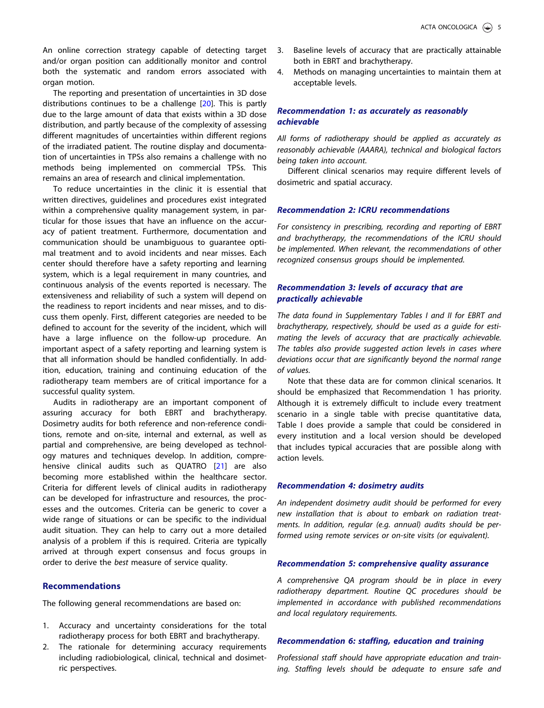<span id="page-8-0"></span>An online correction strategy capable of detecting target and/or organ position can additionally monitor and control both the systematic and random errors associated with organ motion.

The reporting and presentation of uncertainties in 3D dose distributions continues to be a challenge [[20](#page-9-0)]. This is partly due to the large amount of data that exists within a 3D dose distribution, and partly because of the complexity of assessing different magnitudes of uncertainties within different regions of the irradiated patient. The routine display and documentation of uncertainties in TPSs also remains a challenge with no methods being implemented on commercial TPSs. This remains an area of research and clinical implementation.

To reduce uncertainties in the clinic it is essential that written directives, guidelines and procedures exist integrated within a comprehensive quality management system, in particular for those issues that have an influence on the accuracy of patient treatment. Furthermore, documentation and communication should be unambiguous to guarantee optimal treatment and to avoid incidents and near misses. Each center should therefore have a safety reporting and learning system, which is a legal requirement in many countries, and continuous analysis of the events reported is necessary. The extensiveness and reliability of such a system will depend on the readiness to report incidents and near misses, and to discuss them openly. First, different categories are needed to be defined to account for the severity of the incident, which will have a large influence on the follow-up procedure. An important aspect of a safety reporting and learning system is that all information should be handled confidentially. In addition, education, training and continuing education of the radiotherapy team members are of critical importance for a successful quality system.

Audits in radiotherapy are an important component of assuring accuracy for both EBRT and brachytherapy. Dosimetry audits for both reference and non-reference conditions, remote and on-site, internal and external, as well as partial and comprehensive, are being developed as technology matures and techniques develop. In addition, comprehensive clinical audits such as QUATRO [\[21\]](#page-9-0) are also becoming more established within the healthcare sector. Criteria for different levels of clinical audits in radiotherapy can be developed for infrastructure and resources, the processes and the outcomes. Criteria can be generic to cover a wide range of situations or can be specific to the individual audit situation. They can help to carry out a more detailed analysis of a problem if this is required. Criteria are typically arrived at through expert consensus and focus groups in order to derive the best measure of service quality.

#### Recommendations

The following general recommendations are based on:

- 1. Accuracy and uncertainty considerations for the total radiotherapy process for both EBRT and brachytherapy.
- 2. The rationale for determining accuracy requirements including radiobiological, clinical, technical and dosimetric perspectives.
- 3. Baseline levels of accuracy that are practically attainable both in EBRT and brachytherapy.
- 4. Methods on managing uncertainties to maintain them at acceptable levels.

#### Recommendation 1: as accurately as reasonably achievable

All forms of radiotherapy should be applied as accurately as reasonably achievable (AAARA), technical and biological factors being taken into account.

Different clinical scenarios may require different levels of dosimetric and spatial accuracy.

#### Recommendation 2: ICRU recommendations

For consistency in prescribing, recording and reporting of EBRT and brachytherapy, the recommendations of the ICRU should be implemented. When relevant, the recommendations of other recognized consensus groups should be implemented.

#### Recommendation 3: levels of accuracy that are practically achievable

The data found in Supplementary Tables I and II for EBRT and brachytherapy, respectively, should be used as a guide for estimating the levels of accuracy that are practically achievable. The tables also provide suggested action levels in cases where deviations occur that are significantly beyond the normal range of values.

Note that these data are for common clinical scenarios. It should be emphasized that Recommendation 1 has priority. Although it is extremely difficult to include every treatment scenario in a single table with precise quantitative data, Table I does provide a sample that could be considered in every institution and a local version should be developed that includes typical accuracies that are possible along with action levels.

#### Recommendation 4: dosimetry audits

An independent dosimetry audit should be performed for every new installation that is about to embark on radiation treatments. In addition, regular (e.g. annual) audits should be performed using remote services or on-site visits (or equivalent).

#### Recommendation 5: comprehensive quality assurance

A comprehensive QA program should be in place in every radiotherapy department. Routine QC procedures should be implemented in accordance with published recommendations and local regulatory requirements.

#### Recommendation 6: staffing, education and training

Professional staff should have appropriate education and training. Staffing levels should be adequate to ensure safe and